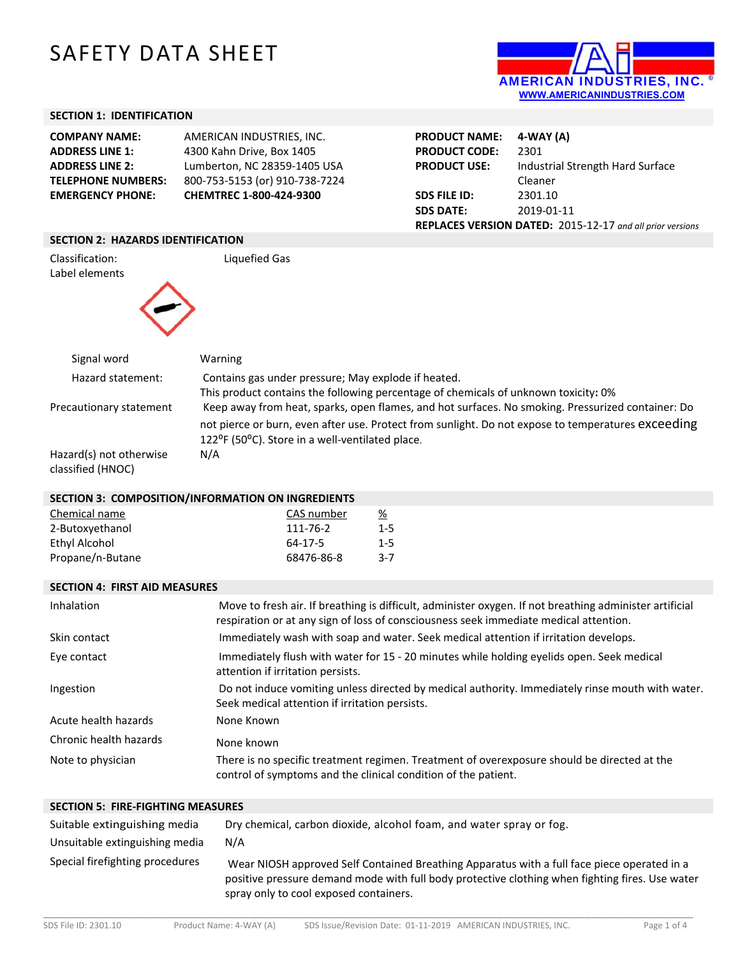# SAFETY DATA SHEET



#### **SECTION 1: IDENTIFICATION**

| <b>COMPANY NAME:</b>      | AMERICAN INDUSTRIES. INC.      |
|---------------------------|--------------------------------|
| <b>ADDRESS LINE 1:</b>    | 4300 Kahn Drive, Box 1405      |
| <b>ADDRESS LINE 2:</b>    | Lumberton, NC 28359-1405 USA   |
| <b>TELEPHONE NUMBERS:</b> | 800-753-5153 (or) 910-738-7224 |
| <b>EMERGENCY PHONE:</b>   | CHEMTREC 1-800-424-9300        |
|                           |                                |

| PRODUCT NAME: 4-WAY (A)                                   |                                  |  |
|-----------------------------------------------------------|----------------------------------|--|
| <b>PRODUCT CODE:</b>                                      | 2301                             |  |
| <b>PRODUCT USE:</b>                                       | Industrial Strength Hard Surface |  |
|                                                           | Cleaner                          |  |
| <b>SDS FILE ID:</b>                                       | 2301.10                          |  |
| <b>SDS DATE:</b>                                          | 2019-01-11                       |  |
| REPLACES VERSION DATED: 2015-12-17 and all prior versions |                                  |  |

#### **SECTION 2: HAZARDS IDENTIFICATION**

Classification: Liquefied Gas Label elements



| Signal word             | Warning                                                                                            |
|-------------------------|----------------------------------------------------------------------------------------------------|
| Hazard statement:       | Contains gas under pressure; May explode if heated.                                                |
|                         | This product contains the following percentage of chemicals of unknown toxicity: 0%                |
| Precautionary statement | Keep away from heat, sparks, open flames, and hot surfaces. No smoking. Pressurized container: Do  |
|                         | not pierce or burn, even after use. Protect from sunlight. Do not expose to temperatures exceeding |
|                         | 122 <sup>o</sup> F (50 <sup>o</sup> C). Store in a well-ventilated place.                          |
| Hazard(s) not otherwise | N/A                                                                                                |
| classified (HNOC)       |                                                                                                    |

#### **SECTION 3: COMPOSITION/INFORMATION ON INGREDIENTS**

| Chemical name    | CAS number | <u>%</u> |
|------------------|------------|----------|
| 2-Butoxyethanol  | 111-76-2   | $1 - 5$  |
| Ethyl Alcohol    | 64-17-5    | $1 - 5$  |
| Propane/n-Butane | 68476-86-8 | $3-7$    |

#### **SECTION 4: FIRST AID MEASURES**

| Inhalation             | Move to fresh air. If breathing is difficult, administer oxygen. If not breathing administer artificial<br>respiration or at any sign of loss of consciousness seek immediate medical attention. |
|------------------------|--------------------------------------------------------------------------------------------------------------------------------------------------------------------------------------------------|
| Skin contact           | Immediately wash with soap and water. Seek medical attention if irritation develops.                                                                                                             |
| Eye contact            | Immediately flush with water for 15 - 20 minutes while holding eyelids open. Seek medical<br>attention if irritation persists.                                                                   |
| Ingestion              | Do not induce vomiting unless directed by medical authority. Immediately rinse mouth with water.<br>Seek medical attention if irritation persists.                                               |
| Acute health hazards   | None Known                                                                                                                                                                                       |
| Chronic health hazards | None known                                                                                                                                                                                       |
| Note to physician      | There is no specific treatment regimen. Treatment of overexposure should be directed at the<br>control of symptoms and the clinical condition of the patient.                                    |

### **SECTION 5: FIRE‐FIGHTING MEASURES**

| Suitable extinguishing media    | Dry chemical, carbon dioxide, alcohol foam, and water spray or fog.                                                                                                                                                                      |
|---------------------------------|------------------------------------------------------------------------------------------------------------------------------------------------------------------------------------------------------------------------------------------|
| Unsuitable extinguishing media  | N/A                                                                                                                                                                                                                                      |
| Special firefighting procedures | Wear NIOSH approved Self Contained Breathing Apparatus with a full face piece operated in a<br>positive pressure demand mode with full body protective clothing when fighting fires. Use water<br>spray only to cool exposed containers. |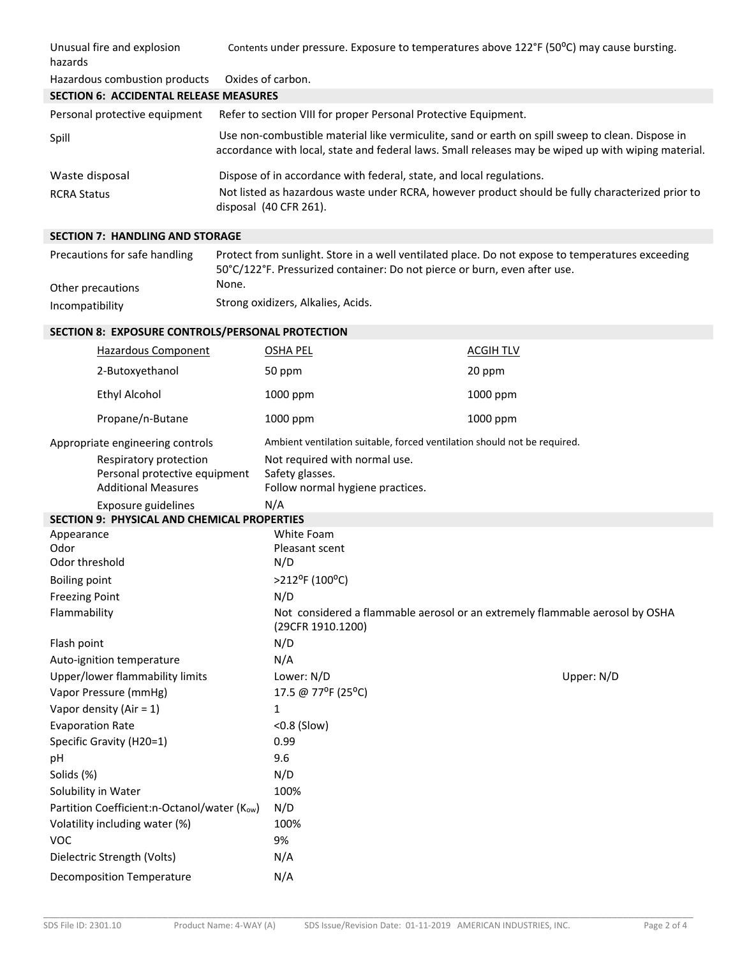| Unusual fire and explosion<br>hazards         | Contents under pressure. Exposure to temperatures above 122°F (50°C) may cause bursting.                                                                                                                |
|-----------------------------------------------|---------------------------------------------------------------------------------------------------------------------------------------------------------------------------------------------------------|
| Hazardous combustion products                 | Oxides of carbon.                                                                                                                                                                                       |
| <b>SECTION 6: ACCIDENTAL RELEASE MEASURES</b> |                                                                                                                                                                                                         |
| Personal protective equipment                 | Refer to section VIII for proper Personal Protective Equipment.                                                                                                                                         |
| Spill                                         | Use non-combustible material like vermiculite, sand or earth on spill sweep to clean. Dispose in<br>accordance with local, state and federal laws. Small releases may be wiped up with wiping material. |
| Waste disposal                                | Dispose of in accordance with federal, state, and local regulations.                                                                                                                                    |
| <b>RCRA Status</b>                            | Not listed as hazardous waste under RCRA, however product should be fully characterized prior to<br>disposal (40 CFR 261).                                                                              |

## **SECTION 7: HANDLING AND STORAGE**

| Precautions for safe handling | Protect from sunlight. Store in a well ventilated place. Do not expose to temperatures exceeding<br>50°C/122°F. Pressurized container: Do not pierce or burn, even after use. |
|-------------------------------|-------------------------------------------------------------------------------------------------------------------------------------------------------------------------------|
| Other precautions             | None.                                                                                                                                                                         |
| Incompatibility               | Strong oxidizers, Alkalies, Acids.                                                                                                                                            |

## **SECTION 8: EXPOSURE CONTROLS/PERSONAL PROTECTION**

|                                      | Hazardous Component                                                                   | <b>OSHA PEL</b>                                                                                   | <b>ACGIH TLV</b> |            |
|--------------------------------------|---------------------------------------------------------------------------------------|---------------------------------------------------------------------------------------------------|------------------|------------|
|                                      | 2-Butoxyethanol                                                                       | 50 ppm                                                                                            | 20 ppm           |            |
|                                      | <b>Ethyl Alcohol</b>                                                                  | 1000 ppm                                                                                          | 1000 ppm         |            |
|                                      | Propane/n-Butane                                                                      | 1000 ppm                                                                                          | 1000 ppm         |            |
|                                      | Appropriate engineering controls                                                      | Ambient ventilation suitable, forced ventilation should not be required.                          |                  |            |
|                                      | Respiratory protection<br>Personal protective equipment<br><b>Additional Measures</b> | Not required with normal use.<br>Safety glasses.<br>Follow normal hygiene practices.              |                  |            |
|                                      | Exposure guidelines                                                                   | N/A                                                                                               |                  |            |
|                                      | <b>SECTION 9: PHYSICAL AND CHEMICAL PROPERTIES</b>                                    |                                                                                                   |                  |            |
| Appearance<br>Odor<br>Odor threshold |                                                                                       | <b>White Foam</b><br>Pleasant scent<br>N/D                                                        |                  |            |
| <b>Boiling point</b>                 |                                                                                       | >212°F (100°C)                                                                                    |                  |            |
| <b>Freezing Point</b>                |                                                                                       | N/D                                                                                               |                  |            |
| Flammability                         |                                                                                       | Not considered a flammable aerosol or an extremely flammable aerosol by OSHA<br>(29CFR 1910.1200) |                  |            |
| Flash point                          |                                                                                       | N/D                                                                                               |                  |            |
|                                      | Auto-ignition temperature                                                             | N/A                                                                                               |                  |            |
|                                      | Upper/lower flammability limits                                                       | Lower: N/D                                                                                        |                  | Upper: N/D |
|                                      | Vapor Pressure (mmHg)                                                                 | 17.5 @ 77°F (25°C)                                                                                |                  |            |
|                                      | Vapor density (Air = $1$ )                                                            | $\mathbf{1}$                                                                                      |                  |            |
| <b>Evaporation Rate</b>              |                                                                                       | <0.8 (Slow)                                                                                       |                  |            |
| Specific Gravity (H20=1)             |                                                                                       | 0.99                                                                                              |                  |            |
| pH                                   |                                                                                       | 9.6                                                                                               |                  |            |
| Solids (%)                           |                                                                                       | N/D                                                                                               |                  |            |
|                                      | Solubility in Water                                                                   | 100%                                                                                              |                  |            |
|                                      | Partition Coefficient:n-Octanol/water (Kow)                                           | N/D                                                                                               |                  |            |
|                                      | Volatility including water (%)                                                        | 100%                                                                                              |                  |            |
| <b>VOC</b>                           |                                                                                       | 9%                                                                                                |                  |            |
|                                      | Dielectric Strength (Volts)                                                           | N/A                                                                                               |                  |            |
| <b>Decomposition Temperature</b>     |                                                                                       | N/A                                                                                               |                  |            |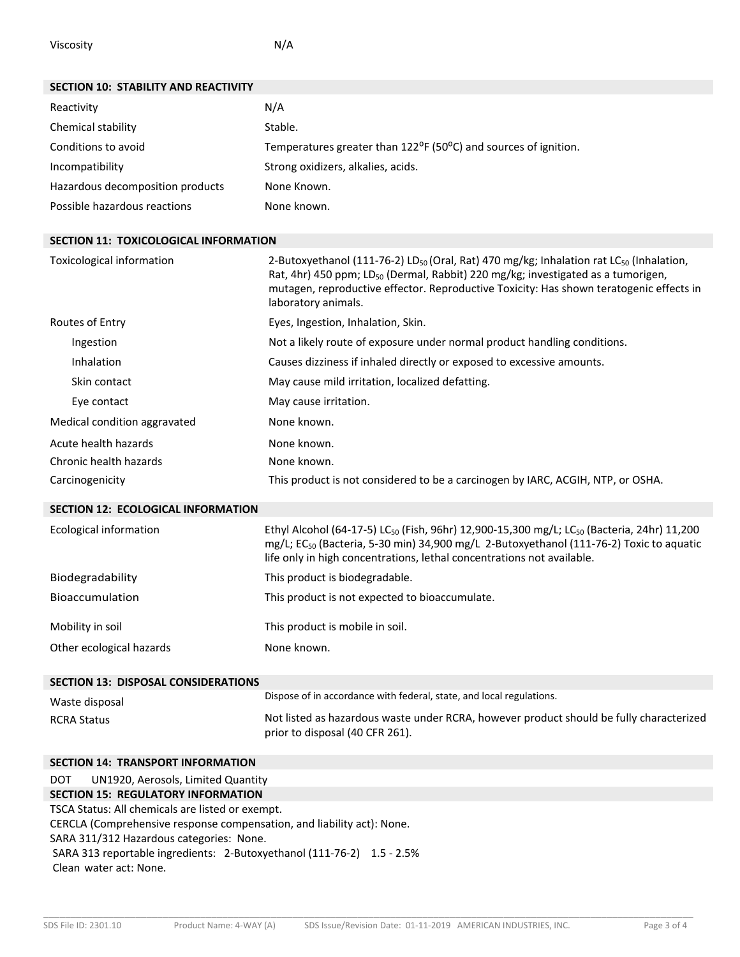Viscosity **N/A** 

| <b>SECTION 10: STABILITY AND REACTIVITY</b>  |                                                                                                                                                                                                                                                                                                                                   |
|----------------------------------------------|-----------------------------------------------------------------------------------------------------------------------------------------------------------------------------------------------------------------------------------------------------------------------------------------------------------------------------------|
| Reactivity                                   | N/A                                                                                                                                                                                                                                                                                                                               |
| Chemical stability                           | Stable.                                                                                                                                                                                                                                                                                                                           |
| Conditions to avoid                          | Temperatures greater than 122 <sup>o</sup> F (50 <sup>o</sup> C) and sources of ignition.                                                                                                                                                                                                                                         |
| Incompatibility                              | Strong oxidizers, alkalies, acids.                                                                                                                                                                                                                                                                                                |
| Hazardous decomposition products             | None Known.                                                                                                                                                                                                                                                                                                                       |
| Possible hazardous reactions                 | None known.                                                                                                                                                                                                                                                                                                                       |
|                                              |                                                                                                                                                                                                                                                                                                                                   |
| <b>SECTION 11: TOXICOLOGICAL INFORMATION</b> |                                                                                                                                                                                                                                                                                                                                   |
| Toxicological information                    | 2-Butoxyethanol (111-76-2) LD <sub>50</sub> (Oral, Rat) 470 mg/kg; Inhalation rat LC <sub>50</sub> (Inhalation,<br>Rat, 4hr) 450 ppm; LD <sub>50</sub> (Dermal, Rabbit) 220 mg/kg; investigated as a tumorigen,<br>mutagen, reproductive effector. Reproductive Toxicity: Has shown teratogenic effects in<br>laboratory animals. |
| Routes of Entry                              | Eyes, Ingestion, Inhalation, Skin.                                                                                                                                                                                                                                                                                                |
| Ingestion                                    | Not a likely route of exposure under normal product handling conditions.                                                                                                                                                                                                                                                          |
| Inhalation                                   | Causes dizziness if inhaled directly or exposed to excessive amounts.                                                                                                                                                                                                                                                             |
| Skin contact                                 | May cause mild irritation, localized defatting.                                                                                                                                                                                                                                                                                   |
| Eye contact                                  | May cause irritation.                                                                                                                                                                                                                                                                                                             |
| Medical condition aggravated                 | None known.                                                                                                                                                                                                                                                                                                                       |
| Acute health hazards                         | None known.                                                                                                                                                                                                                                                                                                                       |
| Chronic health hazards                       | None known.                                                                                                                                                                                                                                                                                                                       |
| Carcinogenicity                              | This product is not considered to be a carcinogen by IARC, ACGIH, NTP, or OSHA.                                                                                                                                                                                                                                                   |
| <b>SECTION 12: ECOLOGICAL INFORMATION</b>    |                                                                                                                                                                                                                                                                                                                                   |
| Ecological information                       | Ethyl Alcohol (64-17-5) LC <sub>50</sub> (Fish, 96hr) 12,900-15,300 mg/L; LC <sub>50</sub> (Bacteria, 24hr) 11,200<br>mg/L; EC <sub>50</sub> (Bacteria, 5-30 min) 34,900 mg/L 2-Butoxyethanol (111-76-2) Toxic to aquatic<br>life only in high concentrations, lethal concentrations not available.                               |
| Biodegradability                             | This product is biodegradable.                                                                                                                                                                                                                                                                                                    |
| Bioaccumulation                              | This product is not expected to bioaccumulate.                                                                                                                                                                                                                                                                                    |
| Mobility in soil                             | This product is mobile in soil.                                                                                                                                                                                                                                                                                                   |
| Other ecological hazards                     | None known.                                                                                                                                                                                                                                                                                                                       |
|                                              |                                                                                                                                                                                                                                                                                                                                   |
| <b>SECTION 13: DISPOSAL CONSIDERATIONS</b>   | Dispose of in accordance with federal, state, and local regulations.                                                                                                                                                                                                                                                              |
| Waste disposal                               | Not listed as hazardous waste under RCRA, however product should be fully characterized                                                                                                                                                                                                                                           |
| <b>RCRA Status</b>                           | prior to disposal (40 CFR 261).                                                                                                                                                                                                                                                                                                   |
|                                              |                                                                                                                                                                                                                                                                                                                                   |
| <b>SECTION 14: TRANSPORT INFORMATION</b>     |                                                                                                                                                                                                                                                                                                                                   |

## DOT UN1920, Aerosols, Limited Quantity **SECTION 15: REGULATORY INFORMATION**  TSCA Status: All chemicals are listed or exempt. CERCLA (Comprehensive response compensation, and liability act): None. SARA 311/312 Hazardous categories: None. SARA 313 reportable ingredients: 2‐Butoxyethanol (111‐76‐2) 1.5 ‐ 2.5% Clean water act: None.